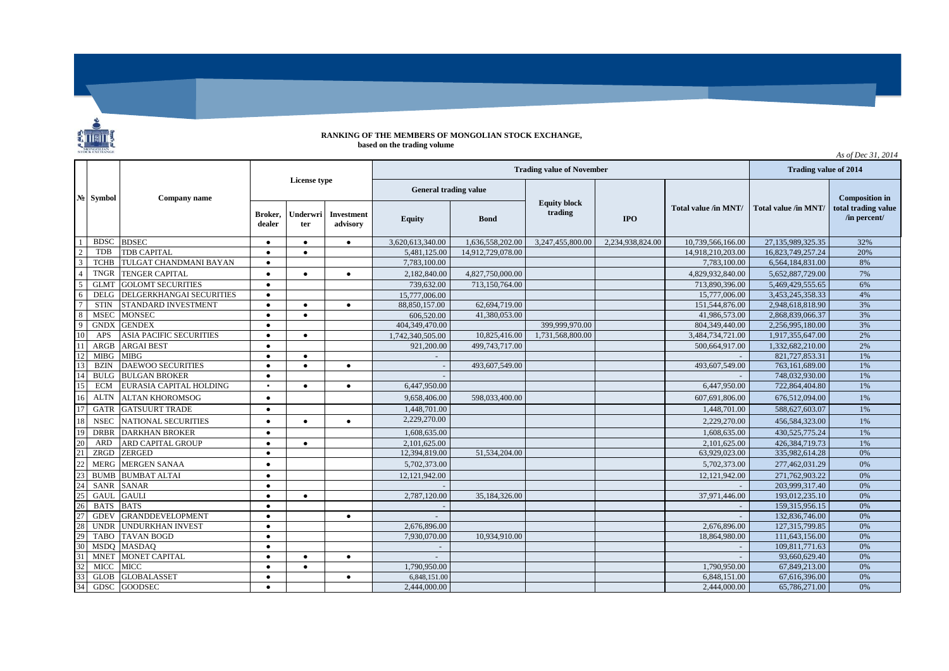

## **RANKING OF THE MEMBERS OF MONGOLIAN STOCK EXCHANGE, based on the trading volume**

**Broker, dealer Underwri ter Investment advisory Equity Bond IPO** 1 BDSC BDSEC ● ● ● 3,620,613,340.00 1,636,558,202.00 3,247,455,800.00 2,234,938,824.00 10,739,566,166.00 27,135,989,325.35 32% 2 TDB TDB CAPITAL ● ● ● ● 5,481,125.00 14,912,729,078.00 14,912,729,078.00 14,918,210,203.00 16,823,749,257.24 20% 3 TCHB TULGAT CHANDMANI BAYAN ● 7,783,100.00 7,783,100.00 6,564,184,831.00 8% 4 TNGR TENGER CAPITAL ● ● ● ● 2,182,840.00 4,827,750,000.00 ● 4,829,932,840.00 5,652,887,729.00 7% 5 GLMT GOLOMT SECURITIES ● ● 739,632.00 713,150,764.00 713,890,396.00 5,469,429,555.65 6% 6 DELG DELGERKHANGAI SECURITIES • 15,777,006.00 15,777,006.00 15,5777,006.00 15,5777,006.00 15,453,245,358.33 4% 7 STIN STANDARD INVESTMENT ● ● ● 88,850,157.00 62,694,719.00 151,544,876.00 2,948,618,818.90 3% 8 MSEC MONSEC ● ● 606,520.00 41,380,053.00 41,986,573.00 2,868,839,066.37 3% 9 GNDX GENDEX ● 404,349,470.00 399,999,970.00 804,349,440.00 2,256,995,180.00 3% 10 APS ASIA PACIFIC SECURITIES | ● | ● | 1,742,340,505.00 | 10,825,416.00 | 1,731,568,800.00 | 3,484,734,721.00 | 1,917,355,647.00 | 2% 11 ARGB ARGAI BEST ● 921,200.00 499,743,717.00 500,664,917.00 1,332,682,210.00 2% 12 MIBG MIBG ● ● - - 821,727,853.31 1% 13 BZIN DAEWOO SECURITIES ● ● ● - 493,607,549.00 493,607,549.00 763,161,689.00 1% 14 BULG BULGAN BROKER ● - - 748,032,930.00 1% 15 ECM EURASIA CAPITAL HOLDING ▪ ● ● 6,447,950.00 6,447,950.00 722,864,404.80 1% 16 ALTN ALTAN KHOROMSOG ● 9,658,406.00 598,033,400.00 607,691,806.00 676,512,094.00 1% 17 GATR GATSUURT TRADE ● 1,448,701.00 1,448,701.00 588,627,603.07 1% 18| NSEC |NATIONAL SECURITIES | ● | ● | ● 2,229,270.00 | | | | 2,229,270.00 | 456,584,323.00 | 1% 19 DRBR DARKHAN BROKER ● 1,608,635.00 1,608,635.00 430,525,775.24 1% 20 ARD ARD CAPITAL GROUP ● ● 2,101,625.00 2,101,625.00 426,384,719.73 1% 21 ZRGD ZERGED ● 12,394,819.00 51,534,204.00 63,929,023.00 335,982,614.28 0% 22 MERG MERGEN SANAA ● 5,702,373.00 5,702,373.00 277,462,031.29 0% 23 BUMB BUMBAT ALTAI ● 12,121,942.00 12,121,942.00 271,762,903.22 0% 24 SANR SANAR ● - - 203,999,317.40 0% 25 GAUL GAULI ● ● 2,787,120.00 35,184,326.00 37,971,446.00 193,012,235.10 0% 26 BATS BATS ● - - 159,315,956.15 0% 27 GDEV GRANDDEVELOPMENT ● ● - - 132,836,746.00 0% 28 UNDR UNDURKHAN INVEST ● 2,676,896.00 2,676,896.00 127,315,799.85 0% 29 TABO TAVAN BOGD ● 7,930,070.00 10,934,910.00 18,864,980.00 111,643,156.00 0% 30 MSDQ MASDAQ ● - - 109,811,771.63 0% 31 MNET MONET CAPITAL ● ● ● - - 93,660,629.40 0% 32 MICC MICC ● ● 1,790,950.00 1,790,950.00 67,849,213.00 0% 33 GLOB GLOBALASSET ● ● 6,848,151.00 6,848,151.00 67,616,396.00 0% 34 GDSC GOODSEC ● 2,444,000.00 2,444,000.00 65,786,271.00 0% **№ License type Company name Total value /in MNT/ Symbol Composition in total trading value /in percent/ Trading value of November Trading value of 2014** *As of Dec 31, 2014* **Total value /in MNT/ General trading value Equity block trading**